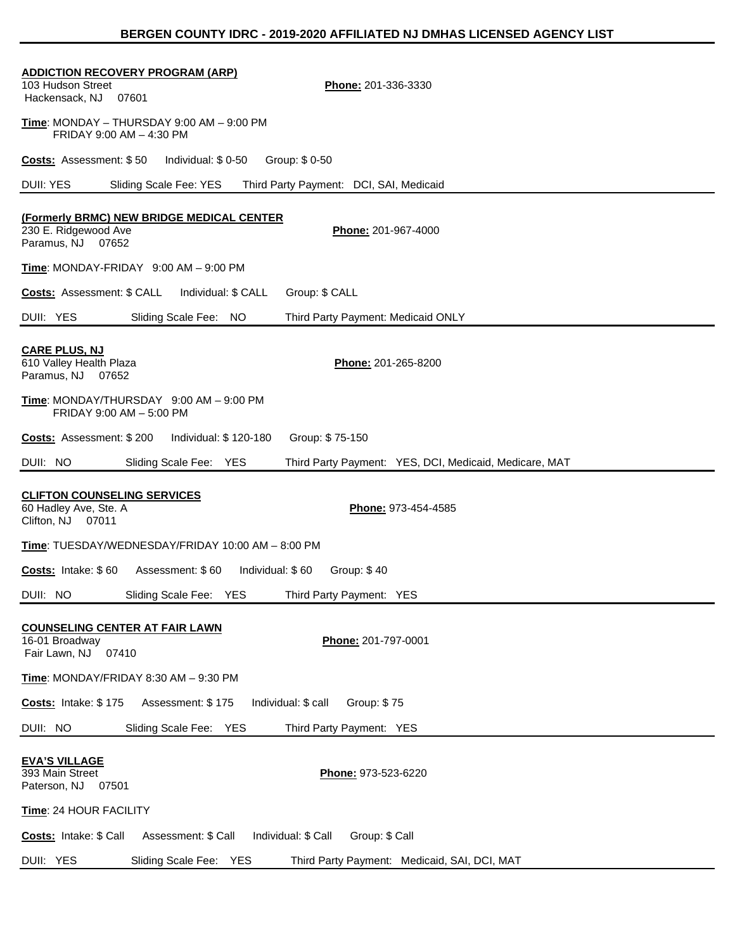| <b>ADDICTION RECOVERY PROGRAM (ARP)</b><br>103 Hudson Street<br>Phone: 201-336-3330<br>Hackensack, NJ<br>07601 |
|----------------------------------------------------------------------------------------------------------------|
| <u>Time</u> : MONDAY – THURSDAY 9:00 AM – 9:00 PM<br>FRIDAY 9:00 AM - 4:30 PM                                  |
| Individual: \$0-50<br>Group: \$0-50<br><b>Costs:</b> Assessment: \$50                                          |
| DUII: YES<br>Third Party Payment: DCI, SAI, Medicaid<br>Sliding Scale Fee: YES                                 |
| (Formerly BRMC) NEW BRIDGE MEDICAL CENTER<br>230 E. Ridgewood Ave<br>Phone: 201-967-4000<br>Paramus, NJ 07652  |
| $Time: MONDAY-FRIDAY$ 9:00 AM $-$ 9:00 PM                                                                      |
| Costs: Assessment: \$ CALL<br>Individual: \$ CALL<br>Group: \$ CALL                                            |
| DUII: YES<br>Sliding Scale Fee: NO<br>Third Party Payment: Medicaid ONLY                                       |
| <b>CARE PLUS, NJ</b><br>610 Valley Health Plaza<br>Phone: 201-265-8200<br>Paramus, NJ 07652                    |
| Time: MONDAY/THURSDAY 9:00 AM - 9:00 PM<br>FRIDAY 9:00 AM - 5:00 PM                                            |
| Individual: \$ 120-180<br>Group: \$75-150<br><b>Costs:</b> Assessment: \$200                                   |
| DUII: NO<br>Sliding Scale Fee: YES<br>Third Party Payment: YES, DCI, Medicaid, Medicare, MAT                   |
| <b>CLIFTON COUNSELING SERVICES</b><br>60 Hadley Ave, Ste. A<br>Phone: 973-454-4585<br>Clifton, NJ 07011        |
| Time: TUESDAY/WEDNESDAY/FRIDAY 10:00 AM - 8:00 PM                                                              |
| Costs: Intake: \$60<br>Assessment: \$60<br>Individual: \$60<br>Group: \$40                                     |
| DUII: NO<br>Sliding Scale Fee: YES<br>Third Party Payment: YES                                                 |
| <b>COUNSELING CENTER AT FAIR LAWN</b><br>Phone: 201-797-0001<br>16-01 Broadway<br>Fair Lawn, NJ<br>07410       |
| Time: MONDAY/FRIDAY 8:30 AM - 9:30 PM                                                                          |
| Group: \$75<br>Costs: Intake: \$175<br>Assessment: \$175<br>Individual: \$ call                                |
| DUII: NO<br>Sliding Scale Fee: YES<br>Third Party Payment: YES                                                 |
| <b>EVA'S VILLAGE</b><br>393 Main Street<br>Phone: 973-523-6220<br>Paterson, NJ<br>07501                        |
| Time: 24 HOUR FACILITY                                                                                         |
| Group: \$ Call<br>Costs: Intake: \$ Call<br>Assessment: \$ Call<br>Individual: \$ Call                         |
| DUII: YES<br>Sliding Scale Fee: YES<br>Third Party Payment: Medicaid, SAI, DCI, MAT                            |